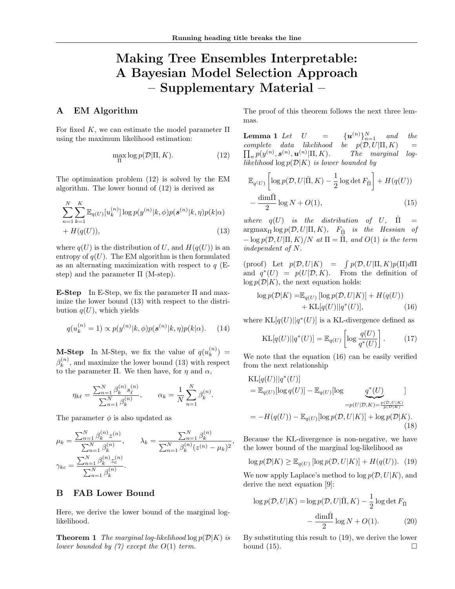# Making Tree Ensembles Interpretable: A Bayesian Model Selection Approach – Supplementary Material –

## A EM Algorithm

For fixed K, we can estimate the model parameter  $\Pi$ using the maximum likelihood estimation:

$$
\max_{\Pi} \log p(\mathcal{D}|\Pi, K). \tag{12}
$$

The optimization problem (12) is solved by the EM algorithm. The lower bound of (12) is derived as

$$
\sum_{n=1}^{N} \sum_{k=1}^{K} \mathbb{E}_{q(U)}[u_k^{(n)}] \log p(y^{(n)}|k, \phi) p(\boldsymbol{s}^{(n)}|k, \eta) p(k|\alpha) + H(q(U)),
$$
\n(13)

where  $q(U)$  is the distribution of U, and  $H(q(U))$  is an entropy of  $q(U)$ . The EM algorithm is then formulated as an alternating maximization with respect to  $q$  (Estep) and the parameter  $\Pi$  (M-step).

**E-Step** In E-Step, we fix the parameter  $\Pi$  and maximize the lower bound (13) with respect to the distribution  $q(U)$ , which yields

$$
q(u_k^{(n)} = 1) \propto p(y^{(n)} | k, \phi) p(\mathbf{s}^{(n)} | k, \eta) p(k | \alpha).
$$
 (14)

**M-Step** In M-Step, we fix the value of  $q(u_k^{(n)})$  $\binom{n}{k} =$  $\beta_k^{(n)}$  $\binom{n}{k}$ , and maximize the lower bound (13) with respect to the parameter Π. We then have, for  $\eta$  and  $\alpha$ ,

$$
\eta_{k\ell} = \frac{\sum_{n=1}^{N} \beta_k^{(n)} s_{\ell}^{(n)}}{\sum_{n=1}^{N} \beta_k^{(n)}}, \qquad \alpha_k = \frac{1}{N} \sum_{n=1}^{N} \beta_k^{(n)}.
$$

The parameter  $\phi$  is also updated as

$$
\mu_k = \frac{\sum_{n=1}^N \beta_k^{(n)} z^{(n)}}{\sum_{n=1}^N \beta_k^{(n)}}, \qquad \lambda_k = \frac{\sum_{n=1}^N \beta_k^{(n)}}{\sum_{n=1}^N \beta_k^{(n)} (z^{(n)} - \mu_k)^2},
$$

$$
\gamma_{kc} = \frac{\sum_{n=1}^N \beta_k^{(n)} z_c^{(n)}}{\sum_{n=1}^N \beta_k^{(n)}}.
$$

## B FAB Lower Bound

Here, we derive the lower bound of the marginal loglikelihood.

**Theorem 1** The marginal log-likelihood  $\log p(\mathcal{D}|K)$  is lower bounded by  $(7)$  except the  $O(1)$  term.

The proof of this theorem follows the next three lemmas.

**Lemma 1** Let  $U = \{u^{(n)}\}_{n=1}^N$  and the  $\Pi$ complete data likelihood be  $p(\mathcal{D}, U | \Pi, K)$  =  ${}_{n}p(y^{(n)},\boldsymbol{s}^{(n)},\boldsymbol{u}^{(n)}|\Pi,K).$  The marginal loglikelihood  $\log p(\mathcal{D}|K)$  is lower bounded by

$$
\mathbb{E}_{q(U)}\left[\log p(\mathcal{D}, U | \hat{\Pi}, K) - \frac{1}{2} \log \det F_{\hat{\Pi}}\right] + H(q(U)) - \frac{\dim \hat{\Pi}}{2} \log N + O(1),\tag{15}
$$

where  $q(U)$  is the distribution of U,  $\hat{\Pi}$  $argmax_{\Pi} log p(\mathcal{D}, U | \Pi, K)$ ,  $F_{\hat{\Pi}}$  is the Hessian of  $-\log p(\mathcal{D}, U | \Pi, K) / N$  at  $\Pi = \hat{\Pi}$ , and  $O(1)$  is the term independent of N.

(proof) Let  $p(\mathcal{D}, U|K) = \int p(\mathcal{D}, U|\Pi, K)p(\Pi)d\Pi$ and  $q^*(U) = p(U|\mathcal{D}, K)$ . From the definition of  $\log p(\mathcal{D}|K)$ , the next equation holds:

$$
\log p(\mathcal{D}|K) = \mathbb{E}_{q(U)} [\log p(\mathcal{D}, U|K)] + H(q(U))
$$
  
+ KL[q(U)||q<sup>\*</sup>(U)], (16)

where  $KL[q(U)||q^*(U)]$  is a KL-divergence defined as

$$
KL[q(U)||q^*(U)] = \mathbb{E}_{q(U)}\left[\log \frac{q(U)}{q^*(U)}\right].\tag{17}
$$

We note that the equation (16) can be easily verified from the next relationship

$$
\begin{aligned} \text{KL}[q(U)||q^*(U)]\\ &= \mathbb{E}_{q(U)}[\log q(U)] - \mathbb{E}_{q(U)}[\log \frac{q^*(U)}{p(E)}] \\ &= -H(q(U)) - \mathbb{E}_{q(U)}[\log p(\mathcal{D}, U|K)] + \log p(\mathcal{D}|K). \end{aligned}
$$
\n
$$
\tag{18}
$$

Because the KL-divergence is non-negative, we have the lower bound of the marginal log-likelihood as

$$
\log p(\mathcal{D}|K) \ge \mathbb{E}_{q(U)}\left[\log p(\mathcal{D}, U|K)\right] + H(q(U)).\tag{19}
$$

We now apply Laplace's method to  $\log p(\mathcal{D}, U|K)$ , and derive the next equation [9]:

$$
\log p(\mathcal{D}, U|K) = \log p(\mathcal{D}, U|\hat{\Pi}, K) - \frac{1}{2}\log \det F_{\hat{\Pi}}
$$

$$
- \frac{\dim \hat{\Pi}}{2}\log N + O(1). \tag{20}
$$

By substituting this result to (19), we derive the lower bound  $(15)$ .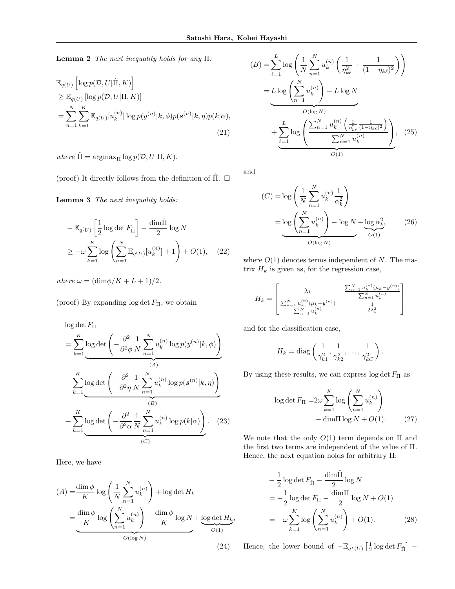**Lemma 2** The next inequality holds for any Π:

$$
\mathbb{E}_{q(U)}\left[\log p(\mathcal{D}, U | \hat{\Pi}, K)\right] \geq \mathbb{E}_{q(U)}\left[\log p(\mathcal{D}, U | \Pi, K)\right] \n= \sum_{n=1}^{N} \sum_{k=1}^{K} \mathbb{E}_{q(U)}[u_k^{(n)}] \log p(y^{(n)}|k, \phi)p(\mathbf{s}^{(n)}|k, \eta)p(k|\alpha),
$$
\n(21)

where  $\hat{\Pi} = \operatorname{argmax}_{\Pi} \log p(\mathcal{D}, U | \Pi, K)$ .

(proof) It directly follows from the definition of  $\Pi$ .  $\square$ 

Lemma 3 The next inequality holds:

$$
-\mathbb{E}_{q(U)}\left[\frac{1}{2}\log\det F_{\hat{\Pi}}\right] - \frac{\dim\hat{\Pi}}{2}\log N
$$
  

$$
\geq -\omega\sum_{k=1}^{K}\log\left(\sum_{n=1}^{N}\mathbb{E}_{q(U)}[u_{k}^{(n)}] + 1\right) + O(1), \quad (22)
$$

where  $\omega = (\text{dim}\phi/K + L + 1)/2$ .

(proof) By expanding  $\log \det F_{\Pi}$ , we obtain

 $\log \det F_{\Pi}$ 

$$
= \sum_{k=1}^{K} \log \det \left( -\frac{\partial^2}{\partial^2 \phi} \frac{1}{N} \sum_{n=1}^{N} u_k^{(n)} \log p(y^{(n)}|k, \phi) \right)
$$
  
+ 
$$
\sum_{k=1}^{K} \log \det \left( -\frac{\partial^2}{\partial^2 \eta} \frac{1}{N} \sum_{n=1}^{N} u_k^{(n)} \log p(s^{(n)}|k, \eta) \right)
$$
  
+ 
$$
\sum_{k=1}^{K} \log \det \left( -\frac{\partial^2}{\partial^2 \alpha} \frac{1}{N} \sum_{n=1}^{N} u_k^{(n)} \log p(k|\alpha) \right).
$$
 (23)

Here, we have

$$
(A) = \frac{\dim \phi}{K} \log \left( \frac{1}{N} \sum_{n=1}^{N} u_k^{(n)} \right) + \log \det H_k
$$

$$
= \underbrace{\frac{\dim \phi}{K} \log \left( \sum_{n=1}^{N} u_k^{(n)} \right) - \frac{\dim \phi}{K} \log N}_{O(\log N)} + \underbrace{\log \det H_k}_{O(1)},
$$
(24)

$$
(B) = \sum_{\ell=1}^{L} \log \left( \frac{1}{N} \sum_{n=1}^{N} u_k^{(n)} \left( \frac{1}{\eta_{k\ell}^2} + \frac{1}{(1 - \eta_{k\ell})^2} \right) \right)
$$
  
= 
$$
L \log \left( \sum_{n=1}^{N} u_k^{(n)} \right) - L \log N
$$
  

$$
O(\log N)
$$
  
+ 
$$
\sum_{\ell=1}^{L} \log \left( \frac{\sum_{n=1}^{N} u_k^{(n)} \left( \frac{1}{\eta_{k\ell}^2} \frac{1}{(1 - \eta_{k\ell})^2} \right)}{\sum_{n=1}^{N} u_k^{(n)}} \right), \quad (25)
$$

and

$$
(C) = \log\left(\frac{1}{N}\sum_{n=1}^{N} u_k^{(n)} \frac{1}{\alpha_k^2}\right)
$$

$$
= \log\left(\sum_{n=1}^{N} u_k^{(n)}\right) - \log N - \log \alpha_k^2,
$$
(26)  
 
$$
O(\log N)
$$

where  $O(1)$  denotes terms independent of N. The matrix  $H_k$  is given as, for the regression case,

$$
H_k = \begin{bmatrix} \lambda_k & \frac{\sum_{n=1}^{N} u_k^{(n)} (\mu_k - y^{(n)})}{\sum_{n=1}^{N} u_k^{(n)}} \\ \frac{\sum_{n=1}^{N} u_k^{(n)} (\mu_k - y^{(n)})}{\sum_{n=1}^{N} u_k^{(n)}} & \frac{1}{2\lambda_k^2} \end{bmatrix}
$$

and for the classification case,

$$
H_k = \text{diag}\left(\frac{1}{\gamma_{k1}^2}, \frac{1}{\gamma_{k2}^2}, \dots, \frac{1}{\gamma_{kC}^2}\right).
$$

By using these results, we can express log  $\det F_{\Pi}$  as

$$
\log \det F_{\Pi} = 2\omega \sum_{k=1}^{K} \log \left( \sum_{n=1}^{N} u_k^{(n)} \right)
$$

$$
- \dim \Pi \log N + O(1). \tag{27}
$$

We note that the only  $O(1)$  term depends on  $\Pi$  and the first two terms are independent of the value of Π. Hence, the next equation holds for arbitrary Π:

$$
-\frac{1}{2}\log\det F_{\hat{\Pi}} - \frac{\dim\hat{\Pi}}{2}\log N
$$
  
= 
$$
-\frac{1}{2}\log\det F_{\Pi} - \frac{\dim\Pi}{2}\log N + O(1)
$$
  
= 
$$
-\omega \sum_{k=1}^{K} \log\left(\sum_{n=1}^{N} u_k^{(n)}\right) + O(1).
$$
 (28)

Hence, the lower bound of  $-\mathbb{E}_{q^*(U)}\left[\frac{1}{2}\log \det F_{\hat{\Pi}}\right]$  –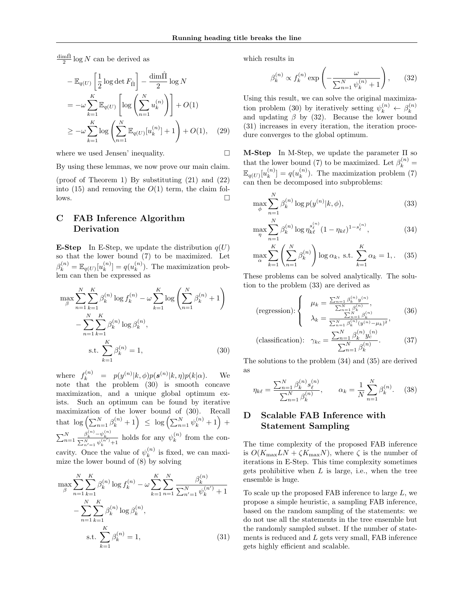$\frac{\text{dim}\hat{\Pi}}{2}$  log N can be derived as

$$
-\mathbb{E}_{q(U)}\left[\frac{1}{2}\log\det F_{\hat{\Pi}}\right] - \frac{\dim\hat{\Pi}}{2}\log N
$$
  

$$
= -\omega \sum_{k=1}^{K} \mathbb{E}_{q(U)}\left[\log\left(\sum_{n=1}^{N} u_k^{(n)}\right)\right] + O(1)
$$
  

$$
\geq -\omega \sum_{k=1}^{K} \log\left(\sum_{n=1}^{N} \mathbb{E}_{q(U)}[u_k^{(n)}] + 1\right) + O(1), \quad (29)
$$

where we used Jensen' inequality.

By using these lemmas, we now prove our main claim.

(proof of Theorem 1) By substituting (21) and (22) into (15) and removing the  $O(1)$  term, the claim fol- $\Box$ 

# C FAB Inference Algorithm Derivation

**E-Step** In E-Step, we update the distribution  $q(U)$ so that the lower bound (7) to be maximized. Let  $\beta_k^{(n)} = \mathbb{E}_{q(U)}[u_k^{(n)}]$  $\binom{n}{k} = q(u_k^{(n)})$  $\binom{n}{k}$ . The maximization problem can then be expressed as

$$
\max_{\beta} \sum_{n=1}^{N} \sum_{k=1}^{K} \beta_k^{(n)} \log f_k^{(n)} - \omega \sum_{k=1}^{K} \log \left( \sum_{n=1}^{N} \beta_k^{(n)} + 1 \right) - \sum_{n=1}^{N} \sum_{k=1}^{K} \beta_k^{(n)} \log \beta_k^{(n)},
$$
  
s.t. 
$$
\sum_{k=1}^{K} \beta_k^{(n)} = 1,
$$
 (30)

where  $f_k^{(n)} = p(y^{(n)}|k, \phi)p(\boldsymbol{s}^{(n)}|k, \eta)p(k|\alpha)$ . We note that the problem (30) is smooth concave maximization, and a unique global optimum exists. Such an optimum can be found by iterative maximization of the lower bound of (30). Recall that  $\log \left( \sum_{n=1}^N \beta_k^{(n)} + 1 \right) \leq \log \left( \sum_{n=1}^N \psi_k^{(n)} + 1 \right) +$  $\sum_{n=1}^{N}$  $\frac{\beta_k^{(n)} - \psi_k^{(n)}}{\sum_{n'=1}^N \psi_k^{(n')} + 1}$  holds for any  $\psi_k^{(n)}$  $k^{(n)}$  from the concavity. Once the value of  $\psi_k^{(n)}$  $\binom{n}{k}$  is fixed, we can maximize the lower bound of (8) by solving

$$
\max_{\beta} \sum_{n=1}^{N} \sum_{k=1}^{K} \beta_k^{(n)} \log f_k^{(n)} - \omega \sum_{k=1}^{K} \sum_{n=1}^{N} \frac{\beta_k^{(n)}}{\sum_{n'=1}^{N} \psi_k^{(n')} + 1}
$$

$$
- \sum_{n=1}^{N} \sum_{k=1}^{K} \beta_k^{(n)} \log \beta_k^{(n)},
$$
  
s.t. 
$$
\sum_{k=1}^{K} \beta_k^{(n)} = 1,
$$
 (31)

which results in

$$
\beta_k^{(n)} \propto f_k^{(n)} \exp\left(-\frac{\omega}{\sum_{n=1}^N \psi_k^{(n)} + 1}\right),\qquad(32)
$$

Using this result, we can solve the original maximization problem (30) by iteratively setting  $\psi_k^{(n)} \leftarrow \beta_k^{(n)}$ k and updating  $\beta$  by (32). Because the lower bound (31) increases in every iteration, the iteration procedure converges to the global optimum.

M-Step In M-Step, we update the parameter Π so that the lower bound (7) to be maximized. Let  $\beta_k^{(n)} =$  $\mathbb{E}_{q(U)}[u_k^{(n)}]$  $\binom{n}{k} = q(u_k^{(n)})$  $\binom{n}{k}$ . The maximization problem (7) can then be decomposed into subproblems:

$$
\max_{\phi} \sum_{n=1}^{N} \beta_k^{(n)} \log p(y^{(n)} | k, \phi),
$$
\n(33)

$$
\max_{\eta} \sum_{n=1}^{N} \beta_k^{(n)} \log \eta_{k\ell}^{s_{\ell}^{(n)}} (1 - \eta_{k\ell})^{1 - s_{\ell}^{(n)}}, \tag{34}
$$

$$
\max_{\alpha} \sum_{k=1}^{K} \left( \sum_{n=1}^{N} \beta_k^{(n)} \right) \log \alpha_k, \text{ s.t. } \sum_{k=1}^{K} \alpha_k = 1, \quad (35)
$$

These problems can be solved analytically. The solution to the problem (33) are derived as

$$
\text{(regression):} \begin{cases} \mu_k = \frac{\sum_{n=1}^N \beta_k^{(n)} y^{(n)}}{\sum_{n=1}^N \beta_k^{(n)}},\\ \lambda_k = \frac{\sum_{n=1}^N \beta_k^{(n)}}{\sum_{n=1}^N \beta_k^{(n)} (y^{(n)} - \mu_k)^2},\\ \text{(classification):} \ \ \gamma_{kc} = \frac{\sum_{n=1}^N \beta_k^{(n)} y_c^{(n)}}{\sum_{n=1}^N \beta_k^{(n)}}. \end{cases} \tag{37}
$$

The solutions to the problem (34) and (35) are derived as

$$
\eta_{k\ell} = \frac{\sum_{n=1}^{N} \beta_k^{(n)} s_\ell^{(n)}}{\sum_{n=1}^{N} \beta_k^{(n)}}, \qquad \alpha_k = \frac{1}{N} \sum_{n=1}^{N} \beta_k^{(n)}.
$$
 (38)

# D Scalable FAB Inference with Statement Sampling

The time complexity of the proposed FAB inference is  $O(K_{\text{max}}LN + \zeta K_{\text{max}}N)$ , where  $\zeta$  is the number of iterations in E-Step. This time complexity sometimes gets prohibitive when  $L$  is large, i.e., when the tree ensemble is huge.

To scale up the proposed FAB inference to large  $L$ , we propose a simple heuristic, a sampling FAB inference, based on the random sampling of the statements: we do not use all the statements in the tree ensemble but the randomly sampled subset. If the number of statements is reduced and L gets very small, FAB inference gets highly efficient and scalable.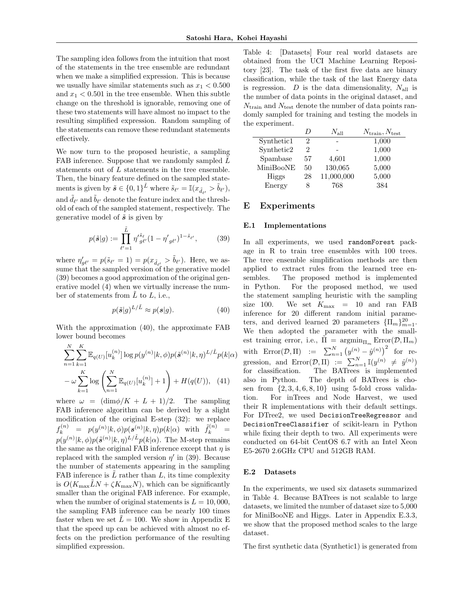The sampling idea follows from the intuition that most of the statements in the tree ensemble are redundant when we make a simplified expression. This is because we usually have similar statements such as  $x_1 < 0.500$ and  $x_1 < 0.501$  in the tree ensemble. When this subtle change on the threshold is ignorable, removing one of these two statements will have almost no impact to the resulting simplified expression. Random sampling of the statements can remove these redundant statements effectively.

We now turn to the proposed heuristic, a sampling FAB inference. Suppose that we randomly sampled  $L$ statements out of L statements in the tree ensemble. Then, the binary feature defined on the sampled statements is given by  $\tilde{s} \in \{0,1\}^{\tilde{L}}$  where  $\tilde{s}_{\ell'} = \mathbb{I}(x_{\tilde{d}_{\ell'}} > \tilde{b}_{\ell'}),$ and  $\tilde{d}_{\ell'}$  and  $\tilde{b}_{\ell'}$  denote the feature index and the threshold of each of the sampled statement, respectively. The generative model of  $\tilde{s}$  is given by

$$
p(\tilde{\mathbf{s}}|g) := \prod_{\ell'=1}^{\tilde{L}} \eta'_{g\ell'}^{\tilde{s}_{\ell}} (1 - \eta'_{g\ell'})^{1 - \tilde{s}_{\ell'}},\tag{39}
$$

where  $\eta'_{g\ell'} = p(\tilde{s}_{\ell'} = 1) = p(x_{\tilde{d}_{\ell'}} > \tilde{b}_{\ell'})$ . Here, we assume that the sampled version of the generative model (39) becomes a good approximation of the original generative model (4) when we virtually increase the number of statements from  $\tilde{L}$  to  $L$ , i.e.,

$$
p(\tilde{\mathbf{s}}|g)^{L/\tilde{L}} \approx p(\mathbf{s}|g). \tag{40}
$$

With the approximation (40), the approximate FAB lower bound becomes

$$
\sum_{n=1}^{N} \sum_{k=1}^{K} \mathbb{E}_{q(U)}[u_k^{(n)}] \log p(y^{(n)}|k, \phi) p(\tilde{\mathbf{s}}^{(n)}|k, \eta)^{L/\tilde{L}} p(k|\alpha) - \omega \sum_{k=1}^{K} \log \left( \sum_{n=1}^{N} \mathbb{E}_{q(U)}[u_k^{(n)}] + 1 \right) + H(q(U)), \quad (41)
$$

where  $\omega = (\dim \phi/K + L + 1)/2$ . The sampling FAB inference algorithm can be derived by a slight modification of the original E-step (32): we replace  $f_k^{(n)} \;\; = \;\; p(y^{(n)}|k,\phi) p(\bm{s}^{(n)}|k,\eta) p(k|\alpha) \;\; \text{with} \;\; \tilde{f}_k^{(n)} \;\; =$  $p(y^{(n)}|k,\phi)p(\tilde{\boldsymbol{s}}^{(n)}|k,\eta)^{L/\tilde{L}}p(k|\alpha)$ . The M-step remains the same as the original FAB inference except that  $\eta$  is replaced with the sampled version  $\eta'$  in (39). Because the number of statements appearing in the sampling FAB inference is  $\tilde{L}$  rather than  $L$ , its time complexity is  $O(K_{\text{max}}LN + \zeta K_{\text{max}}N)$ , which can be significantly smaller than the original FAB inference. For example, when the number of original statements is  $L = 10,000$ , the sampling FAB inference can be nearly 100 times faster when we set  $\tilde{L} = 100$ . We show in Appendix E that the speed up can be achieved with almost no effects on the prediction performance of the resulting simplified expression.

Table 4: [Datasets] Four real world datasets are obtained from the UCI Machine Learning Repository [23]. The task of the first five data are binary classification, while the task of the last Energy data is regression. D is the data dimensionality,  $N_{\text{all}}$  is the number of data points in the original dataset, and  $N_{\text{train}}$  and  $N_{\text{test}}$  denote the number of data points randomly sampled for training and testing the models in the experiment.

|            | D  | $N_{\rm all}$ | $N_{\text{train}}, N_{\text{test}}$ |
|------------|----|---------------|-------------------------------------|
| Synthetic1 | 2  |               | 1,000                               |
| Synthetic2 | 2  |               | 1,000                               |
| Spambase   | 57 | 4,601         | 1,000                               |
| MiniBooNE  | 50 | 130,065       | 5,000                               |
| Higgs      | 28 | 11,000,000    | 5,000                               |
| Energy     | 8  | 768           | 384                                 |

### E Experiments

#### E.1 Implementations

In all experiments, we used randomForest package in R to train tree ensembles with 100 trees. The tree ensemble simplification methods are then applied to extract rules from the learned tree ensembles. The proposed method is implemented in Python. For the proposed method, we used the statement sampling heuristic with the sampling size 100. We set  $K_{\text{max}}$  = 10 and ran FAB inference for 20 different random initial parameters, and derived learned 20 parameters  $\{\Pi_m\}_{m=1}^{20}$ . We then adopted the parameter with the smallest training error, i.e.,  $\tilde{\Pi} = \operatorname{argmin}_{\Pi_m} \text{Error}(\mathcal{D}, \Pi_m)$ with  $\text{Error}(\mathcal{D}, \Pi) \quad := \quad \sum_{n=1}^{N} (y^{(n)} - \hat{y}^{(n)})^2 \quad \text{for} \quad \text{re-}$ gression, and  $Error(\mathcal{D}, \Pi) := \sum_{n=1}^{N} \mathbb{I}(y^{(n)} \neq \hat{y}^{(n)})$ for classification. The BATrees is implemented also in Python. The depth of BATrees is chosen from  $\{2, 3, 4, 6, 8, 10\}$  using 5-fold cross validation. For inTrees and Node Harvest, we used their R implementations with their default settings. For DTree2, we used DecisionTreeRegressor and DecisionTreeClassifier of scikit-learn in Python while fixing their depth to two. All experiments were conducted on 64-bit CentOS 6.7 with an Intel Xeon E5-2670 2.6GHz CPU and 512GB RAM.

#### E.2 Datasets

In the experiments, we used six datasets summarized in Table 4. Because BATrees is not scalable to large datasets, we limited the number of dataset size to 5,000 for MiniBooNE and Higgs. Later in Appendix E.3.3, we show that the proposed method scales to the large dataset.

The first synthetic data (Synthetic1) is generated from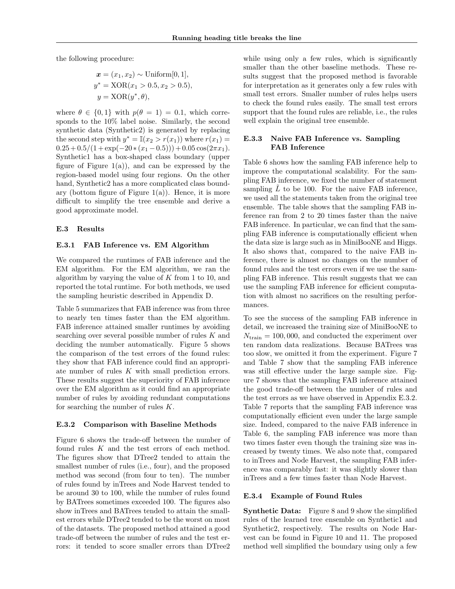the following procedure:

$$
\begin{aligned} \n\boldsymbol{x} &= (x_1, x_2) \sim \text{Uniform}[0, 1], \\ \ny^* &= \text{XOR}(x_1 > 0.5, x_2 > 0.5), \\ \ny &= \text{XOR}(y^*, \theta), \n\end{aligned}
$$

where  $\theta \in \{0, 1\}$  with  $p(\theta = 1) = 0.1$ , which corresponds to the 10% label noise. Similarly, the second synthetic data (Synthetic2) is generated by replacing the second step with  $y^* = \mathbb{I}(x_2 > r(x_1))$  where  $r(x_1) =$  $0.25 + 0.5/(1 + \exp(-20*(x_1 - 0.5))) + 0.05 \cos(2\pi x_1).$ Synthetic1 has a box-shaped class boundary (upper figure of Figure  $1(a)$ , and can be expressed by the region-based model using four regions. On the other hand, Synthetic2 has a more complicated class boundary (bottom figure of Figure 1(a)). Hence, it is more difficult to simplify the tree ensemble and derive a good approximate model.

#### E.3 Results

#### E.3.1 FAB Inference vs. EM Algorithm

We compared the runtimes of FAB inference and the EM algorithm. For the EM algorithm, we ran the algorithm by varying the value of  $K$  from 1 to 10, and reported the total runtime. For both methods, we used the sampling heuristic described in Appendix D.

Table 5 summarizes that FAB inference was from three to nearly ten times faster than the EM algorithm. FAB inference attained smaller runtimes by avoiding searching over several possible number of rules K and deciding the number automatically. Figure 5 shows the comparison of the test errors of the found rules: they show that FAB inference could find an appropriate number of rules K with small prediction errors. These results suggest the superiority of FAB inference over the EM algorithm as it could find an appropriate number of rules by avoiding redundant computations for searching the number of rules  $K$ .

#### E.3.2 Comparison with Baseline Methods

Figure 6 shows the trade-off between the number of found rules K and the test errors of each method. The figures show that DTree2 tended to attain the smallest number of rules (i.e., four), and the proposed method was second (from four to ten). The number of rules found by inTrees and Node Harvest tended to be around 30 to 100, while the number of rules found by BATrees sometimes exceeded 100. The figures also show inTrees and BATrees tended to attain the smallest errors while DTree2 tended to be the worst on most of the datasets. The proposed method attained a good trade-off between the number of rules and the test errors: it tended to score smaller errors than DTree2

while using only a few rules, which is significantly smaller than the other baseline methods. These results suggest that the proposed method is favorable for interpretation as it generates only a few rules with small test errors. Smaller number of rules helps users to check the found rules easily. The small test errors support that the found rules are reliable, i.e., the rules well explain the original tree ensemble.

## E.3.3 Naive FAB Inference vs. Sampling FAB Inference

Table 6 shows how the samling FAB inference help to improve the computational scalability. For the sampling FAB inference, we fixed the number of statement sampling  $\tilde{L}$  to be 100. For the naive FAB inference, we used all the statements taken from the original tree ensemble. The table shows that the sampling FAB inference ran from 2 to 20 times faster than the naive FAB inference. In particular, we can find that the sampling FAB inference is computationally efficient when the data size is large such as in MiniBooNE and Higgs. It also shows that, compared to the naive FAB inference, there is almost no changes on the number of found rules and the test errors even if we use the sampling FAB inference. This result suggests that we can use the sampling FAB inference for efficient computation with almost no sacrifices on the resulting performances.

To see the success of the sampling FAB inference in detail, we increased the training size of MiniBooNE to  $N_{\text{train}} = 100,000$ , and conducted the experiment over ten random data realizations. Because BATrees was too slow, we omitted it from the experiment. Figure 7 and Table 7 show that the sampling FAB inference was still effective under the large sample size. Figure 7 shows that the sampling FAB inference attained the good trade-off between the number of rules and the test errors as we have observed in Appendix E.3.2. Table 7 reports that the sampling FAB inference was computationally efficient even under the large sample size. Indeed, compared to the naive FAB inference in Table 6, the sampling FAB inference was more than two times faster even though the training size was increased by twenty times. We also note that, compared to inTrees and Node Harvest, the sampling FAB inference was comparably fast: it was slightly slower than inTrees and a few times faster than Node Harvest.

#### E.3.4 Example of Found Rules

Synthetic Data: Figure 8 and 9 show the simplified rules of the learned tree ensemble on Synthetic1 and Synthetic2, respectively. The results on Node Harvest can be found in Figure 10 and 11. The proposed method well simplified the boundary using only a few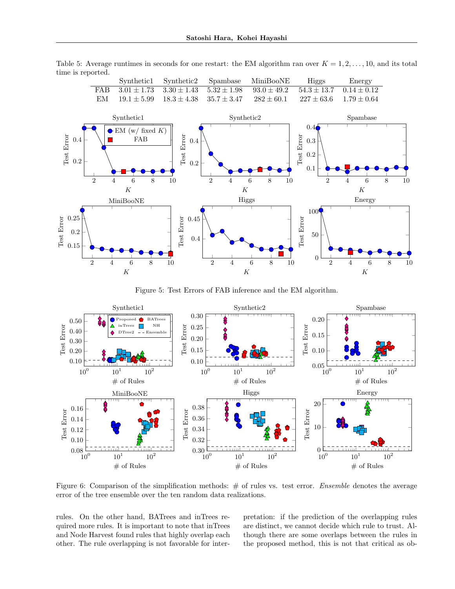Table 5: Average runtimes in seconds for one restart: the EM algorithm ran over  $K = 1, 2, \ldots, 10$ , and its total time is reported.



Figure 5: Test Errors of FAB inference and the EM algorithm.



Figure 6: Comparison of the simplification methods:  $#$  of rules vs. test error. Ensemble denotes the average error of the tree ensemble over the ten random data realizations.

rules. On the other hand, BATrees and inTrees required more rules. It is important to note that inTrees and Node Harvest found rules that highly overlap each other. The rule overlapping is not favorable for interpretation: if the prediction of the overlapping rules are distinct, we cannot decide which rule to trust. Although there are some overlaps between the rules in the proposed method, this is not that critical as ob-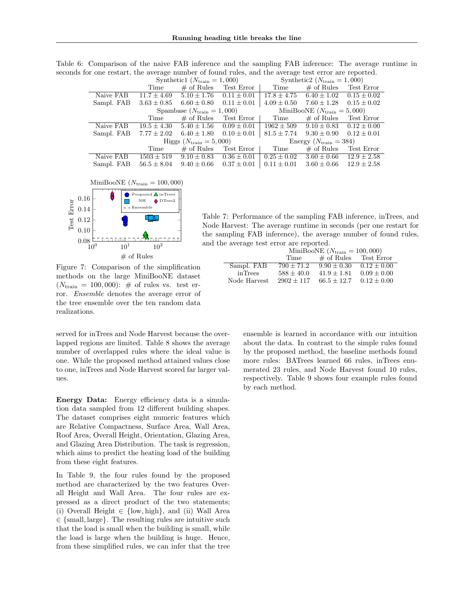Table 6: Comparison of the naive FAB inference and the sampling FAB inference: The average runtime in seconds for one restart, the average number of found rules, and the average test error are reported.

|                                       | Synthetic1 ( $N_{\text{train}} = 1,000$ ) |                 |                                        | Synthetic2 $(N_{\text{train}} = 1,000)$ |                                 |                 |
|---------------------------------------|-------------------------------------------|-----------------|----------------------------------------|-----------------------------------------|---------------------------------|-----------------|
|                                       | Time                                      | $\#$ of Rules   | Test Error                             | Time                                    | $\#$ of Rules Test Error        |                 |
| Naive FAB                             | $11.7 \pm 4.69$                           | $5.10 \pm 1.76$ | $0.11 \pm 0.01$                        | $17.8 \pm 4.75$                         | $6.40 \pm 1.02$                 | $0.15 \pm 0.02$ |
| Sampl. FAB                            | $3.63 \pm 0.85$                           | $6.60 \pm 0.80$ | $0.11 \pm 0.01$                        | $4.09 \pm 0.50$                         | $7.60 \pm 1.28$                 | $0.15 \pm 0.02$ |
| Spambase $(N_{\text{train}} = 1,000)$ |                                           |                 | MiniBooNE $(N_{\text{train}} = 5,000)$ |                                         |                                 |                 |
|                                       | Time                                      | $\#$ of Rules   | Test Error                             | Time                                    | $\#$ of Rules                   | Test Error      |
| Naive FAB                             | $19.5 \pm 4.30$                           | $5.40 \pm 1.56$ | $0.09 \pm 0.01$                        | $1962 \pm 509$                          | $9.10 \pm 0.83$ $0.12 \pm 0.00$ |                 |
| Sampl. FAB                            | $7.77 \pm 2.02$                           | $6.40 \pm 1.80$ | $0.10 \pm 0.01$                        | $81.5 \pm 7.74$                         | $9.30 \pm 0.90$                 | $0.12 \pm 0.01$ |
| Higgs $(N_{\text{train}} = 5,000)$    |                                           |                 | Energy $(N_{\text{train}} = 384)$      |                                         |                                 |                 |
|                                       | Time                                      | $\#$ of Rules   | Test Error                             | Time                                    | $\#$ of Rules                   | Test Error      |
| Naive FAB                             | $1503 \pm 519$                            | $9.10 \pm 0.83$ | $0.36 \pm 0.01$                        | $0.25 \pm 0.02$                         | $3.60 \pm 0.66$                 | $12.9 \pm 2.58$ |
| Sampl. FAB                            | $56.5 \pm 8.04$                           | $9.40 \pm 0.66$ | $0.37 \pm 0.01$                        | $0.11 \pm 0.01$                         | $3.60 \pm 0.66$                 | $12.9 \pm 2.58$ |



Table 7: Performance of the sampling FAB inference, inTrees, and Node Harvest: The average runtime in seconds (per one restart for the sampling FAB inference), the average number of found rules, and the average test error are reported.

Figure 7: Comparison of the simplification methods on the large MiniBooNE dataset  $(N_{\text{train}} = 100,000)$ : # of rules vs. test error. Ensemble denotes the average error of the tree ensemble over the ten random data realizations.

served for inTrees and Node Harvest because the overlapped regions are limited. Table 8 shows the average number of overlapped rules where the ideal value is one. While the proposed method attained values close to one, inTrees and Node Harvest scored far larger values.

Energy Data: Energy efficiency data is a simulation data sampled from 12 different building shapes. The dataset comprises eight numeric features which are Relative Compactness, Surface Area, Wall Area, Roof Area, Overall Height, Orientation, Glazing Area, and Glazing Area Distribution. The task is regression, which aims to predict the heating load of the building from these eight features.

In Table 9, the four rules found by the proposed method are characterized by the two features Overall Height and Wall Area. The four rules are expressed as a direct product of the two statements; (i) Overall Height  $\in$  {low, high}, and (ii) Wall Area  $\in$  {small, large}. The resulting rules are intuitive such that the load is small when the building is small, while the load is large when the building is huge. Hence, from these simplified rules, we can infer that the tree

|              | MiniBooNE $(N_{\text{train}} = 100,000)$ |               |               |  |
|--------------|------------------------------------------|---------------|---------------|--|
|              | Time                                     | $\#$ of Rules | Test Error    |  |
| Sampl. FAB   | $790 + 71.2$                             | $9.90 + 0.30$ | $0.12 + 0.00$ |  |
| in Trees     | $588 + 40.0$                             | $41.9 + 1.81$ | $0.09 + 0.00$ |  |
| Node Harvest | $2902 + 117$                             | $66.5 + 12.7$ | $0.12 + 0.00$ |  |
|              |                                          |               |               |  |

ensemble is learned in accordance with our intuition about the data. In contrast to the simple rules found by the proposed method, the baseline methods found more rules: BATrees learned 66 rules, inTrees enumerated 23 rules, and Node Harvest found 10 rules, respectively. Table 9 shows four example rules found by each method.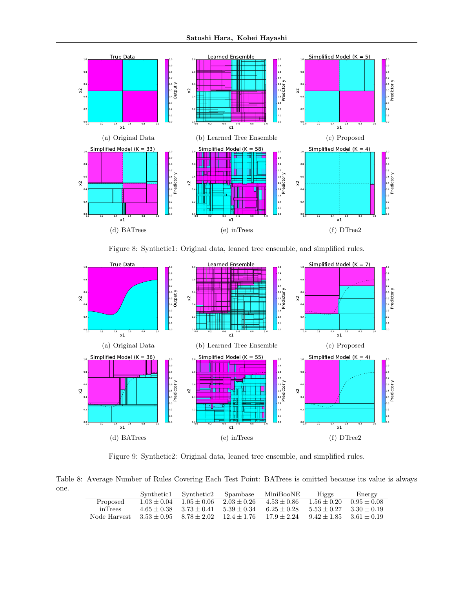

Figure 8: Synthetic1: Original data, leaned tree ensemble, and simplified rules.



Figure 9: Synthetic2: Original data, leaned tree ensemble, and simplified rules.

Table 8: Average Number of Rules Covering Each Test Point: BATrees is omitted because its value is always one.

|              | Synthetic1 | Synthetic2 Spambase                       |                             | MiniBooNE     | Higgs                       | Energy        |
|--------------|------------|-------------------------------------------|-----------------------------|---------------|-----------------------------|---------------|
| Proposed     |            | $1.03 + 0.04$ $1.05 + 0.06$               | $2.03 + 0.26$ $4.53 + 0.86$ |               | $1.56 \pm 0.20$             | $0.95 + 0.08$ |
| in Trees     |            | $4.65 + 0.38$ $3.73 + 0.41$               | $5.39 + 0.34$               | $6.25 + 0.28$ | $5.53 + 0.27$ $3.30 + 0.19$ |               |
| Node Harvest |            | $3.53 + 0.95$ $8.78 + 2.02$ $12.4 + 1.76$ |                             | $17.9 + 2.24$ | $9.42 + 1.85$ $3.61 + 0.19$ |               |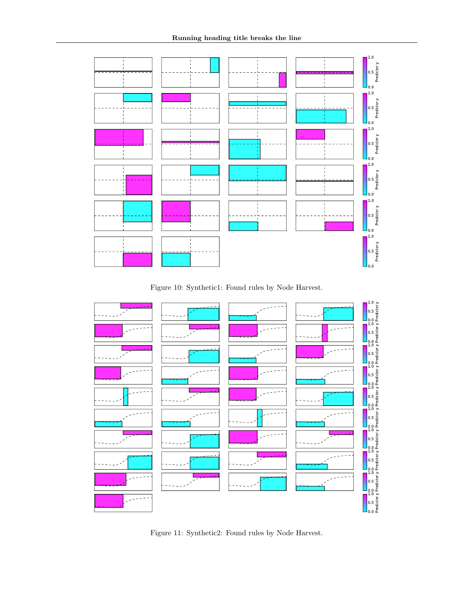

Figure 10: Synthetic1: Found rules by Node Harvest.



Figure 11: Synthetic2: Found rules by Node Harvest.